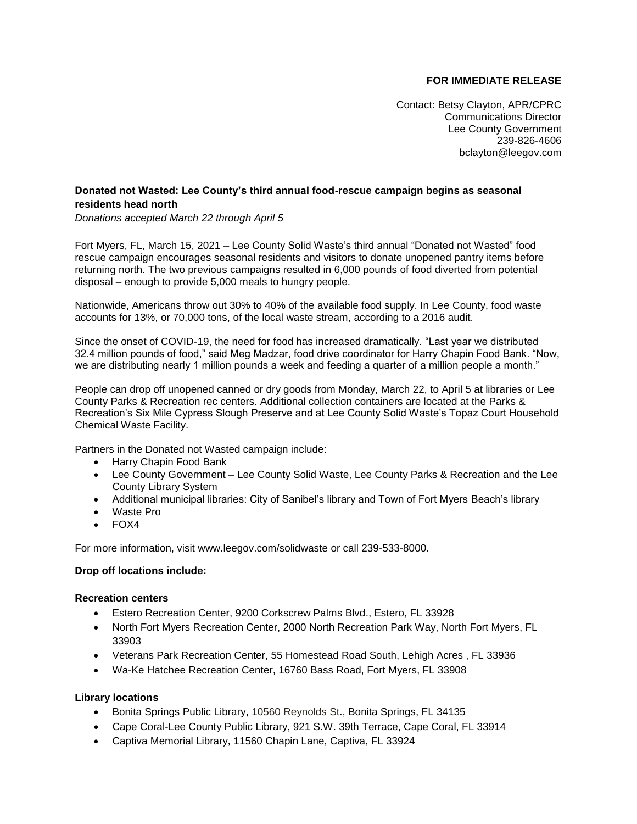# **FOR IMMEDIATE RELEASE**

Contact: Betsy Clayton, APR/CPRC Communications Director Lee County Government 239-826-4606 [bclayton@leegov.com](mailto:bclayton@leegov.com)

## **Donated not Wasted: Lee County's third annual food-rescue campaign begins as seasonal residents head north**

*Donations accepted March 22 through April 5*

Fort Myers, FL, March 15, 2021 – Lee County Solid Waste's third annual "Donated not Wasted" food rescue campaign encourages seasonal residents and visitors to donate unopened pantry items before returning north. The two previous campaigns resulted in 6,000 pounds of food diverted from potential disposal – enough to provide 5,000 meals to hungry people.

Nationwide, Americans throw out 30% to 40% of the available food supply. In Lee County, food waste accounts for 13%, or 70,000 tons, of the local waste stream, according to a 2016 audit.

Since the onset of COVID-19, the need for food has increased dramatically. "Last year we distributed 32.4 million pounds of food," said Meg Madzar, food drive coordinator for Harry Chapin Food Bank. "Now, we are distributing nearly 1 million pounds a week and feeding a quarter of a million people a month."

People can drop off unopened canned or dry goods from Monday, March 22, to April 5 at libraries or Lee County Parks & Recreation rec centers. Additional collection containers are located at the Parks & Recreation's Six Mile Cypress Slough Preserve and at Lee County Solid Waste's Topaz Court Household Chemical Waste Facility.

Partners in the Donated not Wasted campaign include:

- Harry Chapin Food Bank
- Lee County Government Lee County Solid Waste, Lee County Parks & Recreation and the Lee County Library System
- Additional municipal libraries: City of Sanibel's library and Town of Fort Myers Beach's library
- Waste Pro
- FOX4

For more information, visit [www.leegov.com/solidwaste](http://www.leegov.com/solidwaste) or call 239-533-8000.

#### **Drop off locations include:**

#### **Recreation centers**

- Estero Recreation Center, 9200 Corkscrew Palms Blvd., Estero, FL 33928
- North Fort Myers Recreation Center, 2000 North Recreation Park Way, North Fort Myers, FL 33903
- Veterans Park Recreation Center, 55 Homestead Road South, Lehigh Acres , FL 33936
- Wa-Ke Hatchee Recreation Center, 16760 Bass Road, Fort Myers, FL 33908

#### **Library locations**

- Bonita Springs Public Library, 10560 Reynolds St., Bonita Springs, FL 34135
- Cape Coral-Lee County Public Library, 921 S.W. 39th Terrace, Cape Coral, FL 33914
- Captiva Memorial Library, 11560 Chapin Lane, Captiva, FL 33924